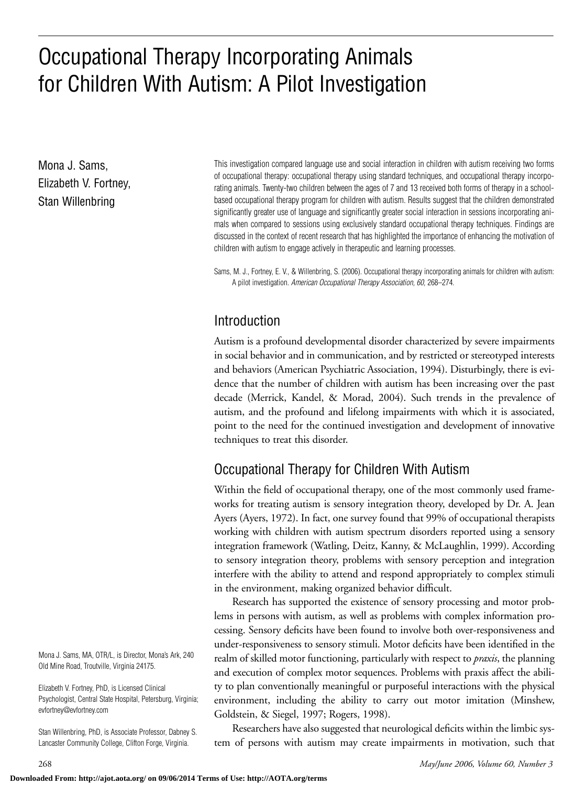# Occupational Therapy Incorporating Animals for Children With Autism: A Pilot Investigation

Mona J. Sams, Elizabeth V. Fortney, Stan Willenbring

This investigation compared language use and social interaction in children with autism receiving two forms of occupational therapy: occupational therapy using standard techniques, and occupational therapy incorporating animals. Twenty-two children between the ages of 7 and 13 received both forms of therapy in a schoolbased occupational therapy program for children with autism. Results suggest that the children demonstrated significantly greater use of language and significantly greater social interaction in sessions incorporating animals when compared to sessions using exclusively standard occupational therapy techniques. Findings are discussed in the context of recent research that has highlighted the importance of enhancing the motivation of children with autism to engage actively in therapeutic and learning processes.

Sams, M. J., Fortney, E. V., & Willenbring, S. (2006). Occupational therapy incorporating animals for children with autism: A pilot investigation. *American Occupational Therapy Association, 60,* 268–274.

# Introduction

Autism is a profound developmental disorder characterized by severe impairments in social behavior and in communication, and by restricted or stereotyped interests and behaviors (American Psychiatric Association, 1994). Disturbingly, there is evidence that the number of children with autism has been increasing over the past decade (Merrick, Kandel, & Morad, 2004). Such trends in the prevalence of autism, and the profound and lifelong impairments with which it is associated, point to the need for the continued investigation and development of innovative techniques to treat this disorder.

# Occupational Therapy for Children With Autism

Within the field of occupational therapy, one of the most commonly used frameworks for treating autism is sensory integration theory, developed by Dr. A. Jean Ayers (Ayers, 1972). In fact, one survey found that 99% of occupational therapists working with children with autism spectrum disorders reported using a sensory integration framework (Watling, Deitz, Kanny, & McLaughlin, 1999). According to sensory integration theory, problems with sensory perception and integration interfere with the ability to attend and respond appropriately to complex stimuli in the environment, making organized behavior difficult.

Research has supported the existence of sensory processing and motor problems in persons with autism, as well as problems with complex information processing. Sensory deficits have been found to involve both over-responsiveness and under-responsiveness to sensory stimuli. Motor deficits have been identified in the realm of skilled motor functioning, particularly with respect to *praxis*, the planning and execution of complex motor sequences. Problems with praxis affect the ability to plan conventionally meaningful or purposeful interactions with the physical environment, including the ability to carry out motor imitation (Minshew, Goldstein, & Siegel, 1997; Rogers, 1998).

Researchers have also suggested that neurological deficits within the limbic system of persons with autism may create impairments in motivation, such that

Mona J. Sams, MA, OTR/L, is Director, Mona's Ark, 240 Old Mine Road, Troutville, Virginia 24175.

Elizabeth V. Fortney, PhD, is Licensed Clinical Psychologist, Central State Hospital, Petersburg, Virginia; evfortney@evfortney.com

Stan Willenbring, PhD, is Associate Professor, Dabney S. Lancaster Community College, Clifton Forge, Virginia.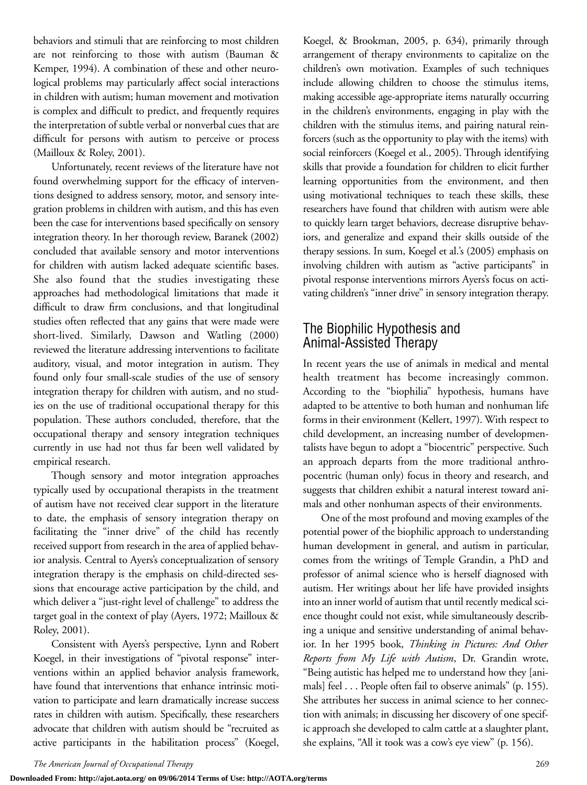behaviors and stimuli that are reinforcing to most children are not reinforcing to those with autism (Bauman & Kemper, 1994). A combination of these and other neurological problems may particularly affect social interactions in children with autism; human movement and motivation is complex and difficult to predict, and frequently requires the interpretation of subtle verbal or nonverbal cues that are difficult for persons with autism to perceive or process (Mailloux & Roley, 2001).

Unfortunately, recent reviews of the literature have not found overwhelming support for the efficacy of interventions designed to address sensory, motor, and sensory integration problems in children with autism, and this has even been the case for interventions based specifically on sensory integration theory. In her thorough review, Baranek (2002) concluded that available sensory and motor interventions for children with autism lacked adequate scientific bases. She also found that the studies investigating these approaches had methodological limitations that made it difficult to draw firm conclusions, and that longitudinal studies often reflected that any gains that were made were short-lived. Similarly, Dawson and Watling (2000) reviewed the literature addressing interventions to facilitate auditory, visual, and motor integration in autism. They found only four small-scale studies of the use of sensory integration therapy for children with autism, and no studies on the use of traditional occupational therapy for this population. These authors concluded, therefore, that the occupational therapy and sensory integration techniques currently in use had not thus far been well validated by empirical research.

Though sensory and motor integration approaches typically used by occupational therapists in the treatment of autism have not received clear support in the literature to date, the emphasis of sensory integration therapy on facilitating the "inner drive" of the child has recently received support from research in the area of applied behavior analysis. Central to Ayers's conceptualization of sensory integration therapy is the emphasis on child-directed sessions that encourage active participation by the child, and which deliver a "just-right level of challenge" to address the target goal in the context of play (Ayers, 1972; Mailloux & Roley, 2001).

Consistent with Ayers's perspective, Lynn and Robert Koegel, in their investigations of "pivotal response" interventions within an applied behavior analysis framework, have found that interventions that enhance intrinsic motivation to participate and learn dramatically increase success rates in children with autism. Specifically, these researchers advocate that children with autism should be "recruited as active participants in the habilitation process" (Koegel, Koegel, & Brookman, 2005, p. 634), primarily through arrangement of therapy environments to capitalize on the children's own motivation. Examples of such techniques include allowing children to choose the stimulus items, making accessible age-appropriate items naturally occurring in the children's environments, engaging in play with the children with the stimulus items, and pairing natural reinforcers (such as the opportunity to play with the items) with social reinforcers (Koegel et al., 2005). Through identifying skills that provide a foundation for children to elicit further learning opportunities from the environment, and then using motivational techniques to teach these skills, these researchers have found that children with autism were able to quickly learn target behaviors, decrease disruptive behaviors, and generalize and expand their skills outside of the therapy sessions. In sum, Koegel et al.'s (2005) emphasis on involving children with autism as "active participants" in pivotal response interventions mirrors Ayers's focus on activating children's "inner drive" in sensory integration therapy.

# The Biophilic Hypothesis and Animal-Assisted Therapy

In recent years the use of animals in medical and mental health treatment has become increasingly common. According to the "biophilia" hypothesis, humans have adapted to be attentive to both human and nonhuman life forms in their environment (Kellert, 1997). With respect to child development, an increasing number of developmentalists have begun to adopt a "biocentric" perspective. Such an approach departs from the more traditional anthropocentric (human only) focus in theory and research, and suggests that children exhibit a natural interest toward animals and other nonhuman aspects of their environments.

One of the most profound and moving examples of the potential power of the biophilic approach to understanding human development in general, and autism in particular, comes from the writings of Temple Grandin, a PhD and professor of animal science who is herself diagnosed with autism. Her writings about her life have provided insights into an inner world of autism that until recently medical science thought could not exist, while simultaneously describing a unique and sensitive understanding of animal behavior. In her 1995 book, *Thinking in Pictures: And Other Reports from My Life with Autism*, Dr. Grandin wrote, "Being autistic has helped me to understand how they [animals] feel . . . People often fail to observe animals" (p. 155). She attributes her success in animal science to her connection with animals; in discussing her discovery of one specific approach she developed to calm cattle at a slaughter plant, she explains, "All it took was a cow's eye view" (p. 156).

**Downloaded From: http://ajot.aota.org/ on 09/06/2014 Terms of Use: http://AOTA.org/terms**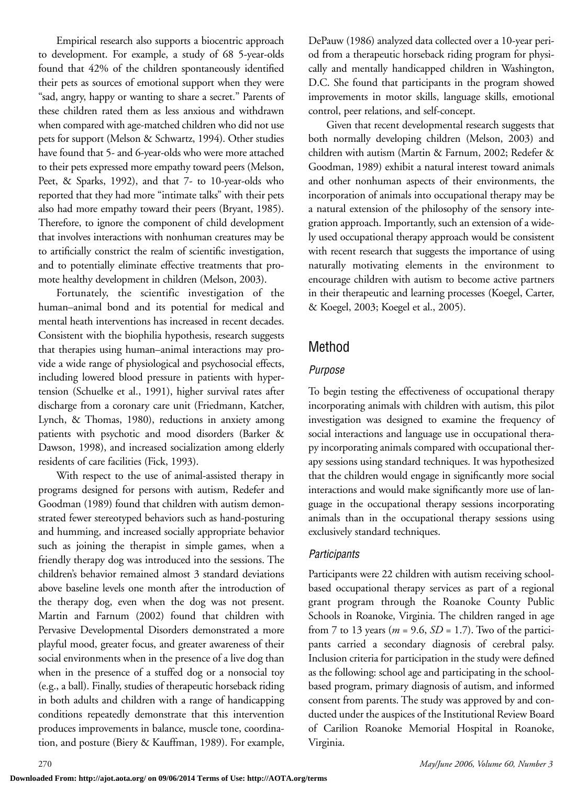Empirical research also supports a biocentric approach to development. For example, a study of 68 5-year-olds found that 42% of the children spontaneously identified their pets as sources of emotional support when they were "sad, angry, happy or wanting to share a secret." Parents of these children rated them as less anxious and withdrawn when compared with age-matched children who did not use pets for support (Melson & Schwartz, 1994). Other studies have found that 5- and 6-year-olds who were more attached to their pets expressed more empathy toward peers (Melson, Peet, & Sparks, 1992), and that 7- to 10-year-olds who reported that they had more "intimate talks" with their pets also had more empathy toward their peers (Bryant, 1985). Therefore, to ignore the component of child development that involves interactions with nonhuman creatures may be to artificially constrict the realm of scientific investigation, and to potentially eliminate effective treatments that promote healthy development in children (Melson, 2003).

Fortunately, the scientific investigation of the human–animal bond and its potential for medical and mental heath interventions has increased in recent decades. Consistent with the biophilia hypothesis, research suggests that therapies using human–animal interactions may provide a wide range of physiological and psychosocial effects, including lowered blood pressure in patients with hypertension (Schuelke et al., 1991), higher survival rates after discharge from a coronary care unit (Friedmann, Katcher, Lynch, & Thomas, 1980), reductions in anxiety among patients with psychotic and mood disorders (Barker & Dawson, 1998), and increased socialization among elderly residents of care facilities (Fick, 1993).

With respect to the use of animal-assisted therapy in programs designed for persons with autism, Redefer and Goodman (1989) found that children with autism demonstrated fewer stereotyped behaviors such as hand-posturing and humming, and increased socially appropriate behavior such as joining the therapist in simple games, when a friendly therapy dog was introduced into the sessions. The children's behavior remained almost 3 standard deviations above baseline levels one month after the introduction of the therapy dog, even when the dog was not present. Martin and Farnum (2002) found that children with Pervasive Developmental Disorders demonstrated a more playful mood, greater focus, and greater awareness of their social environments when in the presence of a live dog than when in the presence of a stuffed dog or a nonsocial toy (e.g., a ball). Finally, studies of therapeutic horseback riding in both adults and children with a range of handicapping conditions repeatedly demonstrate that this intervention produces improvements in balance, muscle tone, coordination, and posture (Biery & Kauffman, 1989). For example,

DePauw (1986) analyzed data collected over a 10-year period from a therapeutic horseback riding program for physically and mentally handicapped children in Washington, D.C. She found that participants in the program showed improvements in motor skills, language skills, emotional control, peer relations, and self-concept.

Given that recent developmental research suggests that both normally developing children (Melson, 2003) and children with autism (Martin & Farnum, 2002; Redefer & Goodman, 1989) exhibit a natural interest toward animals and other nonhuman aspects of their environments, the incorporation of animals into occupational therapy may be a natural extension of the philosophy of the sensory integration approach. Importantly, such an extension of a widely used occupational therapy approach would be consistent with recent research that suggests the importance of using naturally motivating elements in the environment to encourage children with autism to become active partners in their therapeutic and learning processes (Koegel, Carter, & Koegel, 2003; Koegel et al., 2005).

# Method

## *Purpose*

To begin testing the effectiveness of occupational therapy incorporating animals with children with autism, this pilot investigation was designed to examine the frequency of social interactions and language use in occupational therapy incorporating animals compared with occupational therapy sessions using standard techniques. It was hypothesized that the children would engage in significantly more social interactions and would make significantly more use of language in the occupational therapy sessions incorporating animals than in the occupational therapy sessions using exclusively standard techniques.

## *Participants*

Participants were 22 children with autism receiving schoolbased occupational therapy services as part of a regional grant program through the Roanoke County Public Schools in Roanoke, Virginia. The children ranged in age from 7 to 13 years (*m* = 9.6, *SD* = 1.7). Two of the participants carried a secondary diagnosis of cerebral palsy. Inclusion criteria for participation in the study were defined as the following: school age and participating in the schoolbased program, primary diagnosis of autism, and informed consent from parents. The study was approved by and conducted under the auspices of the Institutional Review Board of Carilion Roanoke Memorial Hospital in Roanoke, Virginia.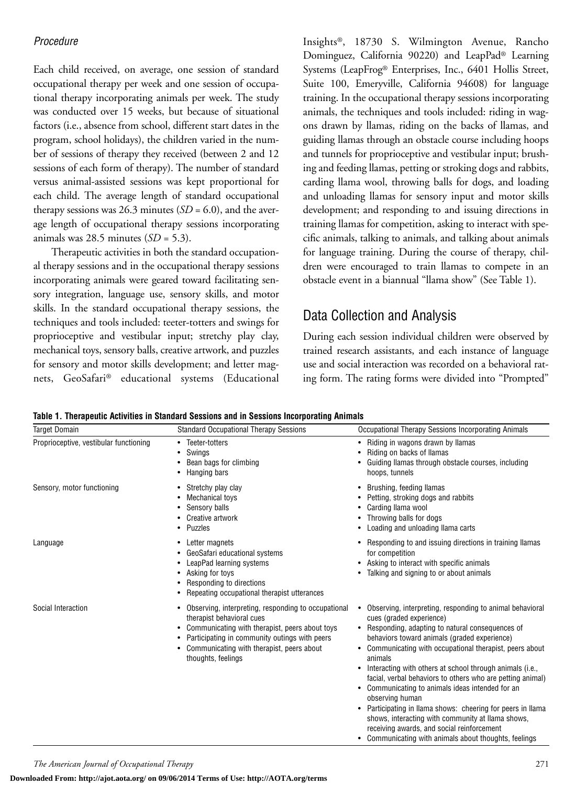#### *Procedure*

Each child received, on average, one session of standard occupational therapy per week and one session of occupational therapy incorporating animals per week. The study was conducted over 15 weeks, but because of situational factors (i.e., absence from school, different start dates in the program, school holidays), the children varied in the number of sessions of therapy they received (between 2 and 12 sessions of each form of therapy). The number of standard versus animal-assisted sessions was kept proportional for each child. The average length of standard occupational therapy sessions was  $26.3$  minutes  $(SD = 6.0)$ , and the average length of occupational therapy sessions incorporating animals was 28.5 minutes (*SD* = 5.3).

Therapeutic activities in both the standard occupational therapy sessions and in the occupational therapy sessions incorporating animals were geared toward facilitating sensory integration, language use, sensory skills, and motor skills. In the standard occupational therapy sessions, the techniques and tools included: teeter-totters and swings for proprioceptive and vestibular input; stretchy play clay, mechanical toys, sensory balls, creative artwork, and puzzles for sensory and motor skills development; and letter magnets, GeoSafari® educational systems (Educational Insights®, 18730 S. Wilmington Avenue, Rancho Dominguez, California 90220) and LeapPad® Learning Systems (LeapFrog® Enterprises, Inc., 6401 Hollis Street, Suite 100, Emeryville, California 94608) for language training. In the occupational therapy sessions incorporating animals, the techniques and tools included: riding in wagons drawn by llamas, riding on the backs of llamas, and guiding llamas through an obstacle course including hoops and tunnels for proprioceptive and vestibular input; brushing and feeding llamas, petting or stroking dogs and rabbits, carding llama wool, throwing balls for dogs, and loading and unloading llamas for sensory input and motor skills development; and responding to and issuing directions in training llamas for competition, asking to interact with specific animals, talking to animals, and talking about animals for language training. During the course of therapy, children were encouraged to train llamas to compete in an obstacle event in a biannual "llama show" (See Table 1).

# Data Collection and Analysis

During each session individual children were observed by trained research assistants, and each instance of language use and social interaction was recorded on a behavioral rating form. The rating forms were divided into "Prompted"

| Table 1. Therapeutic Activities in Standard Sessions and in Sessions Incorporating Animals |  |  |  |  |
|--------------------------------------------------------------------------------------------|--|--|--|--|
|                                                                                            |  |  |  |  |

| <b>Target Domain</b>                   | <b>Standard Occupational Therapy Sessions</b>                                                                                                                                                                                                          | Occupational Therapy Sessions Incorporating Animals                                                                                                                                                                                                                                                                                                                                                                                                                                                                                                                                                                                                                                       |  |  |
|----------------------------------------|--------------------------------------------------------------------------------------------------------------------------------------------------------------------------------------------------------------------------------------------------------|-------------------------------------------------------------------------------------------------------------------------------------------------------------------------------------------------------------------------------------------------------------------------------------------------------------------------------------------------------------------------------------------------------------------------------------------------------------------------------------------------------------------------------------------------------------------------------------------------------------------------------------------------------------------------------------------|--|--|
| Proprioceptive, vestibular functioning | Teeter-totters<br>$\bullet$<br>Swings<br>Bean bags for climbing<br>Hanging bars                                                                                                                                                                        | Riding in wagons drawn by llamas<br>٠<br>Riding on backs of Ilamas<br>Guiding Ilamas through obstacle courses, including<br>hoops, tunnels                                                                                                                                                                                                                                                                                                                                                                                                                                                                                                                                                |  |  |
| Sensory, motor functioning             | Stretchy play clay<br>٠<br>Mechanical toys<br>Sensory balls<br>Creative artwork<br>Puzzles                                                                                                                                                             | Brushing, feeding Ilamas<br>Petting, stroking dogs and rabbits<br>Carding Ilama wool<br>Throwing balls for dogs<br>Loading and unloading Ilama carts<br>٠                                                                                                                                                                                                                                                                                                                                                                                                                                                                                                                                 |  |  |
| Language                               | Letter magnets<br>٠<br>GeoSafari educational systems<br>LeapPad learning systems<br>Asking for toys<br>Responding to directions<br>Repeating occupational therapist utterances                                                                         | Responding to and issuing directions in training Ilamas<br>$\bullet$<br>for competition<br>Asking to interact with specific animals<br>٠<br>Talking and signing to or about animals                                                                                                                                                                                                                                                                                                                                                                                                                                                                                                       |  |  |
| Social Interaction                     | Observing, interpreting, responding to occupational<br>therapist behavioral cues<br>Communicating with therapist, peers about toys<br>Participating in community outings with peers<br>Communicating with therapist, peers about<br>thoughts, feelings | Observing, interpreting, responding to animal behavioral<br>cues (graded experience)<br>• Responding, adapting to natural consequences of<br>behaviors toward animals (graded experience)<br>Communicating with occupational therapist, peers about<br>animals<br>Interacting with others at school through animals (i.e.,<br>facial, verbal behaviors to others who are petting animal)<br>Communicating to animals ideas intended for an<br>observing human<br>Participating in Ilama shows: cheering for peers in Ilama<br>٠<br>shows, interacting with community at Ilama shows,<br>receiving awards, and social reinforcement<br>Communicating with animals about thoughts, feelings |  |  |

**Downloaded From: http://ajot.aota.org/ on 09/06/2014 Terms of Use: http://AOTA.org/terms**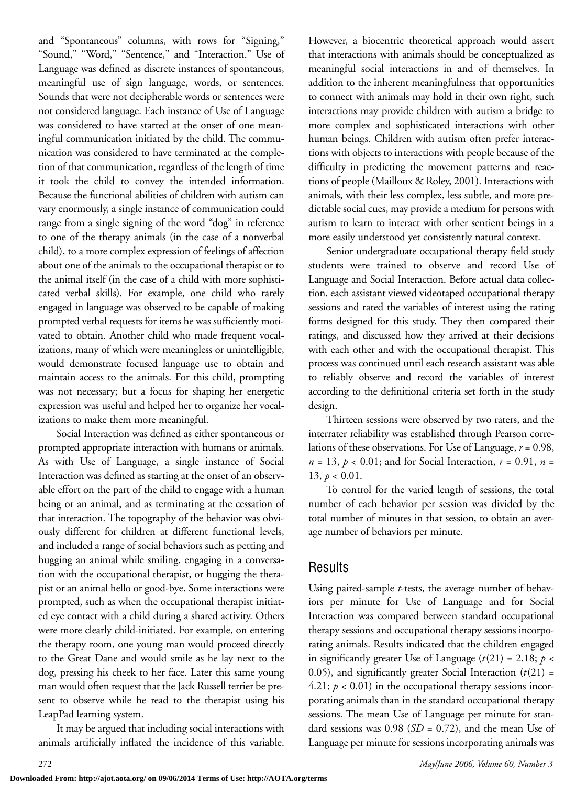and "Spontaneous" columns, with rows for "Signing," "Sound," "Word," "Sentence," and "Interaction." Use of Language was defined as discrete instances of spontaneous, meaningful use of sign language, words, or sentences. Sounds that were not decipherable words or sentences were not considered language. Each instance of Use of Language was considered to have started at the onset of one meaningful communication initiated by the child. The communication was considered to have terminated at the completion of that communication, regardless of the length of time it took the child to convey the intended information. Because the functional abilities of children with autism can vary enormously, a single instance of communication could range from a single signing of the word "dog" in reference to one of the therapy animals (in the case of a nonverbal child), to a more complex expression of feelings of affection about one of the animals to the occupational therapist or to the animal itself (in the case of a child with more sophisticated verbal skills). For example, one child who rarely engaged in language was observed to be capable of making prompted verbal requests for items he was sufficiently motivated to obtain. Another child who made frequent vocalizations, many of which were meaningless or unintelligible, would demonstrate focused language use to obtain and maintain access to the animals. For this child, prompting was not necessary; but a focus for shaping her energetic expression was useful and helped her to organize her vocalizations to make them more meaningful.

Social Interaction was defined as either spontaneous or prompted appropriate interaction with humans or animals. As with Use of Language, a single instance of Social Interaction was defined as starting at the onset of an observable effort on the part of the child to engage with a human being or an animal, and as terminating at the cessation of that interaction. The topography of the behavior was obviously different for children at different functional levels, and included a range of social behaviors such as petting and hugging an animal while smiling, engaging in a conversation with the occupational therapist, or hugging the therapist or an animal hello or good-bye. Some interactions were prompted, such as when the occupational therapist initiated eye contact with a child during a shared activity. Others were more clearly child-initiated. For example, on entering the therapy room, one young man would proceed directly to the Great Dane and would smile as he lay next to the dog, pressing his cheek to her face. Later this same young man would often request that the Jack Russell terrier be present to observe while he read to the therapist using his LeapPad learning system.

It may be argued that including social interactions with animals artificially inflated the incidence of this variable.

However, a biocentric theoretical approach would assert that interactions with animals should be conceptualized as meaningful social interactions in and of themselves. In addition to the inherent meaningfulness that opportunities to connect with animals may hold in their own right, such interactions may provide children with autism a bridge to more complex and sophisticated interactions with other human beings. Children with autism often prefer interactions with objects to interactions with people because of the difficulty in predicting the movement patterns and reactions of people (Mailloux & Roley, 2001). Interactions with animals, with their less complex, less subtle, and more predictable social cues, may provide a medium for persons with autism to learn to interact with other sentient beings in a more easily understood yet consistently natural context.

Senior undergraduate occupational therapy field study students were trained to observe and record Use of Language and Social Interaction. Before actual data collection, each assistant viewed videotaped occupational therapy sessions and rated the variables of interest using the rating forms designed for this study. They then compared their ratings, and discussed how they arrived at their decisions with each other and with the occupational therapist. This process was continued until each research assistant was able to reliably observe and record the variables of interest according to the definitional criteria set forth in the study design.

Thirteen sessions were observed by two raters, and the interrater reliability was established through Pearson correlations of these observations. For Use of Language, *r* = 0.98, *n* = 13, *p* < 0.01; and for Social Interaction, *r* = 0.91, *n* = 13,  $p < 0.01$ .

To control for the varied length of sessions, the total number of each behavior per session was divided by the total number of minutes in that session, to obtain an average number of behaviors per minute.

## Results

Using paired-sample *t*-tests, the average number of behaviors per minute for Use of Language and for Social Interaction was compared between standard occupational therapy sessions and occupational therapy sessions incorporating animals. Results indicated that the children engaged in significantly greater Use of Language  $(t(21) = 2.18; p <$ 0.05), and significantly greater Social Interaction  $(t(21) =$ 4.21;  $p < 0.01$ ) in the occupational therapy sessions incorporating animals than in the standard occupational therapy sessions. The mean Use of Language per minute for standard sessions was 0.98 (*SD* = 0.72), and the mean Use of Language per minute for sessions incorporating animals was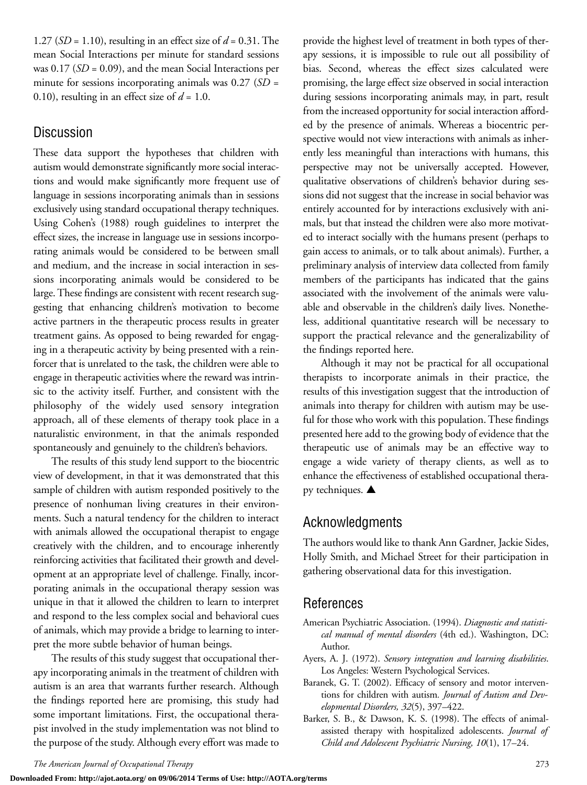1.27 (*SD* = 1.10), resulting in an effect size of *d* = 0.31. The mean Social Interactions per minute for standard sessions was 0.17 (*SD* = 0.09), and the mean Social Interactions per minute for sessions incorporating animals was 0.27 (*SD* = 0.10), resulting in an effect size of  $d = 1.0$ .

## **Discussion**

These data support the hypotheses that children with autism would demonstrate significantly more social interactions and would make significantly more frequent use of language in sessions incorporating animals than in sessions exclusively using standard occupational therapy techniques. Using Cohen's (1988) rough guidelines to interpret the effect sizes, the increase in language use in sessions incorporating animals would be considered to be between small and medium, and the increase in social interaction in sessions incorporating animals would be considered to be large. These findings are consistent with recent research suggesting that enhancing children's motivation to become active partners in the therapeutic process results in greater treatment gains. As opposed to being rewarded for engaging in a therapeutic activity by being presented with a reinforcer that is unrelated to the task, the children were able to engage in therapeutic activities where the reward was intrinsic to the activity itself. Further, and consistent with the philosophy of the widely used sensory integration approach, all of these elements of therapy took place in a naturalistic environment, in that the animals responded spontaneously and genuinely to the children's behaviors.

The results of this study lend support to the biocentric view of development, in that it was demonstrated that this sample of children with autism responded positively to the presence of nonhuman living creatures in their environments. Such a natural tendency for the children to interact with animals allowed the occupational therapist to engage creatively with the children, and to encourage inherently reinforcing activities that facilitated their growth and development at an appropriate level of challenge. Finally, incorporating animals in the occupational therapy session was unique in that it allowed the children to learn to interpret and respond to the less complex social and behavioral cues of animals, which may provide a bridge to learning to interpret the more subtle behavior of human beings.

The results of this study suggest that occupational therapy incorporating animals in the treatment of children with autism is an area that warrants further research. Although the findings reported here are promising, this study had some important limitations. First, the occupational therapist involved in the study implementation was not blind to the purpose of the study. Although every effort was made to provide the highest level of treatment in both types of therapy sessions, it is impossible to rule out all possibility of bias. Second, whereas the effect sizes calculated were promising, the large effect size observed in social interaction during sessions incorporating animals may, in part, result from the increased opportunity for social interaction afforded by the presence of animals. Whereas a biocentric perspective would not view interactions with animals as inherently less meaningful than interactions with humans, this perspective may not be universally accepted. However, qualitative observations of children's behavior during sessions did not suggest that the increase in social behavior was entirely accounted for by interactions exclusively with animals, but that instead the children were also more motivated to interact socially with the humans present (perhaps to gain access to animals, or to talk about animals). Further, a preliminary analysis of interview data collected from family members of the participants has indicated that the gains associated with the involvement of the animals were valuable and observable in the children's daily lives. Nonetheless, additional quantitative research will be necessary to support the practical relevance and the generalizability of the findings reported here.

Although it may not be practical for all occupational therapists to incorporate animals in their practice, the results of this investigation suggest that the introduction of animals into therapy for children with autism may be useful for those who work with this population. These findings presented here add to the growing body of evidence that the therapeutic use of animals may be an effective way to engage a wide variety of therapy clients, as well as to enhance the effectiveness of established occupational therapy techniques. **▲**

## Acknowledgments

The authors would like to thank Ann Gardner, Jackie Sides, Holly Smith, and Michael Street for their participation in gathering observational data for this investigation.

## References

- American Psychiatric Association. (1994). *Diagnostic and statistical manual of mental disorders* (4th ed.). Washington, DC: Author.
- Ayers, A. J. (1972). *Sensory integration and learning disabilities*. Los Angeles: Western Psychological Services.
- Baranek, G. T. (2002). Efficacy of sensory and motor interventions for children with autism*. Journal of Autism and Developmental Disorders, 32*(5), 397–422.
- Barker, S. B., & Dawson, K. S. (1998). The effects of animalassisted therapy with hospitalized adolescents. *Journal of Child and Adolescent Psychiatric Nursing, 10*(1), 17–24.